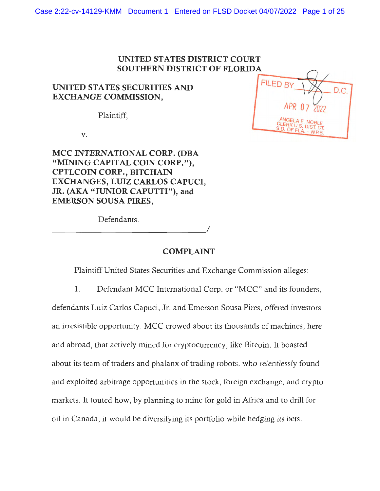### **UNITED STATES DISTRICT COURT SOUTHERN DISTRICT OF FLORIDA**

### **UNITED STATES SECURITIES AND EXCHANGE COMMISSION,**

Plaintiff,

**V.** 

**MCC INTERNATIONAL CORP. (DBA "MINING CAPITAL COIN CORP."), CPTLCOIN CORP., BITCHAIN EXCHANGES, LUIZ CARLOS CAPUCI, JR. (AKA "JUNIOR CAPUTTI"), and EMERSON SOUSA PIRES,** 

Defendants.  $D$  etendants.

**COMPLAINT** 

Plaintiff United States Securities and Exchange Commission alleges:

1. Defendant MCC International Corp. or "MCC" and its founders,

defendants Luiz Carlos Capuci, Jr. and Emerson Sousa Pires, offered investors an irresistible opportunity. MCC crowed about its thousands of machines, here and abroad, that actively mined for cryptocurrency, like Bitcoin. It boasted about its team of traders and phalanx of trading robots, who relentlessly found and exploited arbitrage opportunities in the stock, foreign exchange, and crypto markets. It touted how, by planning to mine for gold in Africa and to drill for oil in Canada, it would be diversifying its portfolio while hedging its bets.

|  | FILED BY<br>C.                                                   |
|--|------------------------------------------------------------------|
|  | APR 07 2022                                                      |
|  | ANGELA E. NOBLE<br>CLERK U.S. DIST. CT.<br>S.D. OF FLA. - W.P.B. |
|  |                                                                  |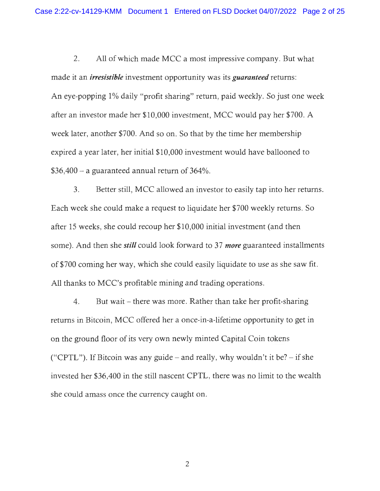2. All of which made MCC a most impressive company. But what made it an *irresistible* investment opportunity was its *guaranteed* returns: An eye-popping 1% daily "profit sharing" return, paid weekly. So just one week after an investor made her \$10,000 investment, MCC would pay her \$700. A week later, another \$700. And so on. So that by the time her membership expired a year later, her initial \$10,000 investment would have ballooned to  $$36,400 - a$  guaranteed annual return of  $364\%$ .

3. Better still, MCC allowed an investor to easily tap into her returns. Each week she could make a request to liquidate her \$700 weekly returns. So after 15 weeks, she could recoup her \$10,000 initial investment (and then some). And then she *still* could look forward to 37 *more* guaranteed installments of \$700 coming her way, which she could easily liquidate to use as she saw fit. All thanks to MCC's profitable mining and trading operations.

4. But wait – there was more. Rather than take her profit-sharing returns in Bitcoin, MCC offered her a once-in-a-lifetime opportunity to get in on the ground floor of its very own newly minted Capital Coin tokens ("CPTL"). If Bitcoin was any guide – and really, why wouldn't it be? – if she invested her \$36,400 in the still nascent CPTL, there was no limit to the wealth she could amass once the currency caught on.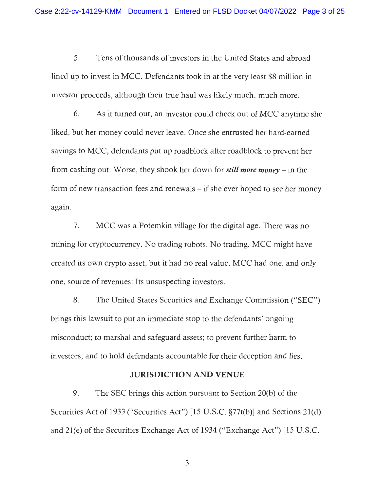5. Tens of thousands of investors in the United States and abroad lined up to invest in MCC. Defendants took in at the very least \$8 million in investor proceeds, although their true haul was likely much, much more.

6. As it turned out, an investor could check out of MCC anytime she liked, but her money could never leave. Once she entrusted her hard-earned savings to MCC, defendants put up roadblock after roadblock to prevent her from cashing out. Worse, they shook her down for *still more money* - in the form of new transaction fees and renewals – if she ever hoped to see her money again.

7. MCC was a Potemkin village for the digital age. There was no mining for cryptocurrency. No trading robots. No trading. MCC might have created its own crypto asset, but it had no real value. MCC had one, and only one, source of revenues: Its unsuspecting investors.

8. The United States Securities and Exchange Commission ("SEC") brings this lawsuit to put an immediate stop to the defendants' ongoing misconduct; to marshal and safeguard assets; to prevent further harm to investors; and to hold defendants accountable for their deception and lies.

#### **JURISDICTION AND VENUE**

9. The SEC brings this action pursuant to Section 20(b) of the Securities Act of 1933 ("Securities Act") [15 U.S.C. §77t(b)] and Sections 21(d) and 2l(e) of the Securities Exchange Act of 1934 ("Exchange Act") [15 U .S.C.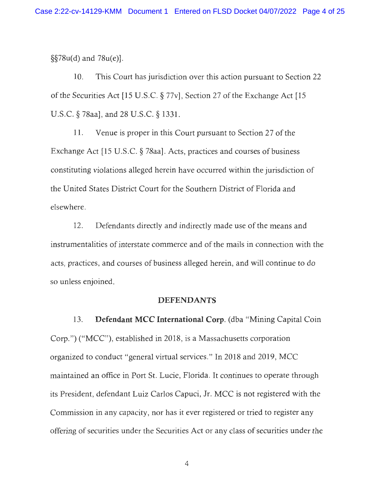§§78u(d) and 78u(e)].

10. This Court has jurisdiction over this action pursuant to Section 22 of the Securities Act [15 U.S.C. § 77v], Section 27 of the Exchange Act [15 U.S.C. § 78aa], and 28 U.S.C. § 1331.

11. Venue is proper in this Court pursuant to Section 27 of the Exchange Act [15 U.S.C.  $\S$  78aa]. Acts, practices and courses of business constituting violations alleged herein have occurred within the jurisdiction of the United States District Court for the Southern District of Florida and elsewhere.

12. Defendants directly and indirectly made use of the means and instrumentalities of interstate commerce and of the mails in connection with the acts, practices, and courses of business alleged herein, and will continue to do so unless enjoined.

#### **DEFENDANTS**

13. **Defendant MCC International Corp.** (dba "Mining Capital Coin Corp.") ("MCC"), established in 2018, is a Massachusetts corporation organized to conduct "general virtual services." In 2018 and 2019, MCC maintained an office in Port St. Lucie, Florida. It continues to operate through its President, defendant Luiz Carlos Capuci, Jr. MCC is not registered with the Commission in any capacity, nor has it ever registered or tried to register any offering of securities under the Securities Act or any class of securities under the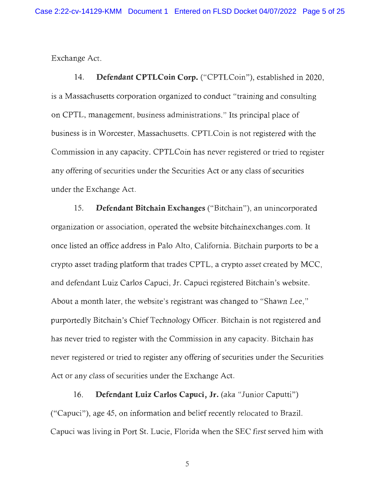Exchange Act.

14. **Defendant CPTLCoin Corp.** ("CPTLCoin"), established in 2020, is a Massachusetts corporation organized to conduct "training and consulting on CPTL, management, business administrations." Its principal place of business is in Worcester, Massachusetts. CPTLCoin is not registered with the Commission in any capacity. CPTLCoin has never registered or tried to register any offering of securities under the Securities Act or any class of securities under the Exchange Act.

15. **Defendant Bitchain Exchanges** ("Bitchain"), an unincorporated organization or association, operated the website bitchainexchanges.com. It once listed an office address in Palo Alto, California. Bitchain purports to be a crypto asset trading platform that trades CPTL, a crypto asset created by MCC, and defendant Luiz Carlos Capuci, Jr. Capuci registered Bitchain's website. About a month later, the website's registrant was changed to "Shawn Lee," purportedly Bitchain's Chief Technology Officer. Bitchain is not registered and has never tried to register with the Commission in any capacity. Bitchain has never registered or tried to register any offering of securities under the Securities Act or any class of securities under the Exchange Act.

16. **Defendant Luiz Carlos Capuci, Jr.** (aka "Junior Caputti") ("Capuci"), age 45, on information and belief recently relocated to Brazil. Capuci was living in Port St. Lucie, Florida when the SEC first served him with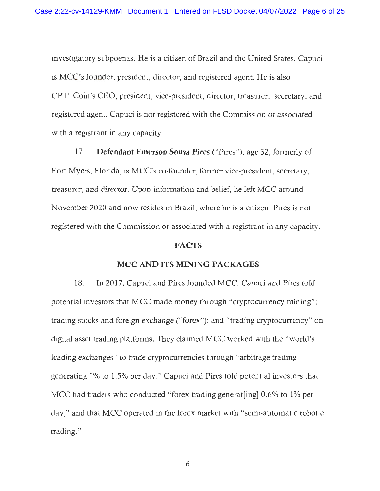investigatory subpoenas. He is a citizen of Brazil and the United States. Capuci is MCC's founder, president, director, and registered agent. He is also CPTLCoin's CEO, president, vice-president, director, treasurer, secretary, and registered agent. Capuci is not registered with the Commission or associated with a registrant in any capacity.

17. **Defendant Emerson Sousa Pires** ("Pires"), age 32, formerly of Fort Myers, Florida, is MCC's co-founder, former vice-president, secretary, treasurer, and director. Upon information and belief, he left MCC around November 2020 and now resides in Brazil, where he is a citizen. Pires is not registered with the Commission or associated with a registrant in any capacity.

#### **FACTS**

#### **MCC AND ITS MINING PACKAGES**

18. In 2017, Capuci and Pires founded MCC. Capuci and Pires told potential investors that MCC made money through "cryptocurrency mining"; trading stocks and foreign exchange ("forex"); and "trading cryptocurrency" on digital asset trading platforms. They claimed MCC worked with the "world's leading exchanges" to trade cryptocurrencies through "arbitrage trading generating 1% to 1.5% per day." Capuci and Pires told potential investors that MCC had traders who conducted "forex trading generat [ing]  $0.6\%$  to  $1\%$  per day," and that MCC operated in the forex market with "semi-automatic robotic trading. "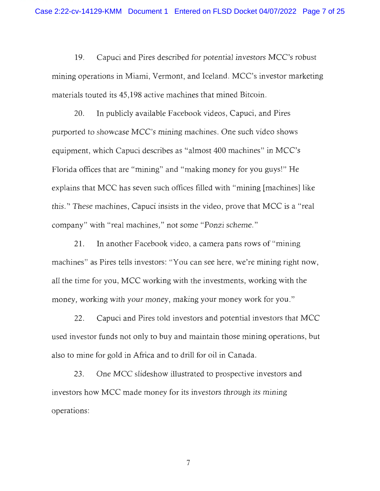19. Capuci and Pires described for potential investors MCC's robust mining operations in Miami, Vermont, and Iceland. MCC's investor marketing materials touted its 45,198 active machines that mined Bitcoin.

20. In publicly available Facebook videos, Capuci, and Pires purported to showcase MCC's mining machines. One such video shows equipment, which Capuci describes as "almost 400 machines" in MCC's Florida offices that are "mining" and "making money for you guys!" He explains that MCC has seven such offices filled with "mining [machines] like this." These machines, Capuci insists in the video, prove that MCC is a "real company" with "real machines," not some "Ponzi scheme. "

21. In another Facebook video, a camera pans rows of "mining machines" as Pires tells investors: "You can see here, we're mining right now, all the time for you, MCC working with the investments, working with the money, working with your money, making your money work for you."

22. Capuci and Pires told investors and potential investors that MCC used investor funds not only to buy and maintain those mining operations, but also to mine for gold in Africa and to drill for oil in Canada.

23. One MCC slideshow illustrated to prospective investors and investors how MCC made money for its investors through its mining operations: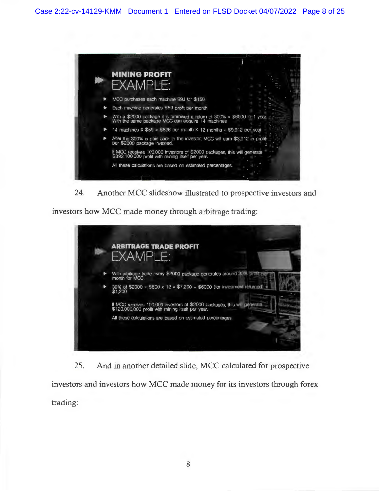

**24. Another MCC slideshow illustrated to prospective investors and** 

**investors how MCC made money through arbitrage trading:** 



**25. And in another detailed slide, MCC calculated for prospective investors and investors how MCC made money for its investors through forex trading:**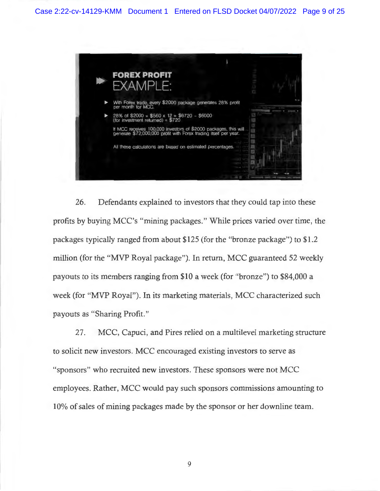

26. Defendants explained to investors that they could tap into these profits by buying MCC's "mining packages. " While prices varied over time , the packages typically ranged from about \$125 (for the "bronze package") to \$1 .2 million (for the "MVP Royal package"). In return, MCC guaranteed 52 weekly payouts to its members ranging from \$10 a week (for "bronze") to \$84,000 a week (for "MVP Royal"). In its marketing materials, MCC characterized such payouts as "Sharing Profit."

27. MCC, Capuci, and Pires relied on a multilevel marketing structure to solicit new investors. MCC encouraged existing investors to serve as "sponsors" who recruited new investors. These sponsors were not MCC employees. Rather, MCC would pay such sponsors commissions amounting to 10% of sales of mining packages made by the sponsor or her downline team.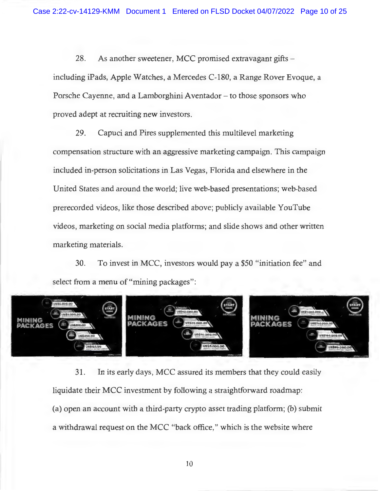28. As another sweetener, MCC promised extravagant gifts – including iPads, Apple Watches, a Mercedes C-180, a Range Rover Evoque, a Porsche Cayenne, and a Lamborghini Aventador – to those sponsors who proved adept at recruiting new investors.

29. Capuci and Pires supplemented this multilevel marketing compensation structure with an aggressive marketing campaign. This campaign included in-person solicitations in Las Vegas, Florida and elsewhere in the United States and around the world; live web-based presentations; web-based prerecorded videos, like those described above; publicly available Y ouTube videos, marketing on social media platforms; and slide shows and other written marketing materials.

30. To invest in MCC, investors would pay a \$50 "initiation fee" and select from a menu of "mining packages":



31. In its early days, MCC assured its members that they could easily liquidate their MCC investment by following a straightforward roadmap: (a) open an account with a third-party crypto asset trading platform; (b) submit a withdrawal request on the MCC "back office," which is the website where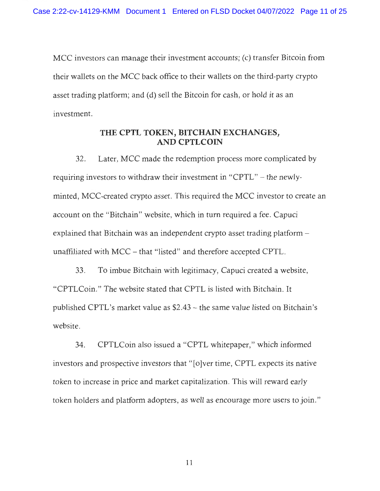MCC investors can manage their investment accounts; (c) transfer Bitcoin from their wallets on the MCC back office to their wallets on the third-party crypto asset trading platform; and (d) sell the Bitcoin for cash, or hold it as an investment.

# **THE CPTL TOKEN, BITCHAJN EXCHANGES, AND CPTLCOIN**

32. Later, MCC made the redemption process more complicated by requiring investors to withdraw their investment in "CPTL" - the newlyminted, MCC-created crypto asset. This required the MCC investor to create an account on the "Bitchain" website, which in tum required a fee. Capuci explained that Bitchain was an independent crypto asset trading platform  $$ unaffiliated with MCC - that "listed" and therefore accepted CPTL.

33. To imbue Bitchain with legitimacy, Capuci created a website, "CPTLCoin." The website stated that CPTL is listed with Bitchain. It published CPTL's market value as \$2.43 - the same value listed on Bitchain's website.

34. CPTLCoin also issued a "CPTL whitepaper," which informed investors and prospective investors that "[o]ver time, CPTL expects its native token to increase in price and market capitalization. This will reward early token holders and platform adopters, as well as encourage more users to join."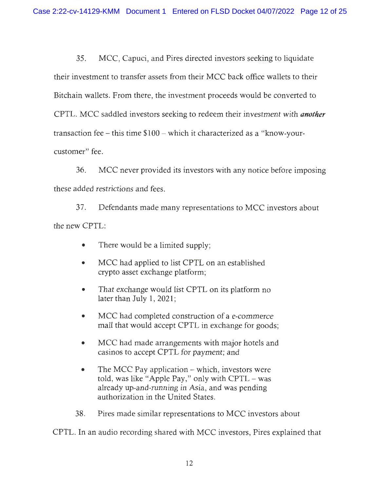35 . MCC, Capuci, and Pires directed investors seeking to liquidate their investment to transfer assets from their MCC back office wallets to their Bitchain wallets. From there, the investment proceeds would be converted to CPTL. MCC saddled investors seeking to redeem their investment with *another*  transaction fee - this time \$100 - which it characterized as a "know-yourcustomer" fee.

36. MCC never provided its investors with any notice before imposing these added restrictions and fees.

37. Defendants made many representations to MCC investors about the new CPTL:

- There would be a limited supply;
- MCC had applied to list CPTL on an established crypto asset exchange platform;
- That exchange would list CPTL on its platform no later than July 1, 2021;
- MCC had completed construction of a e-commerce mall that would accept CPTL in exchange for goods;
- MCC had made arrangements with major hotels and casinos to accept CPTL for payment; and
- The MCC Pay application which, investors were told, was like "Apple Pay," only with CPTL - was already up-and-running in Asia, and was pending authorization in the United States.
- 38. Pires made similar representations to MCC investors about

CPTL. In an audio recording shared with MCC investors, Pires explained that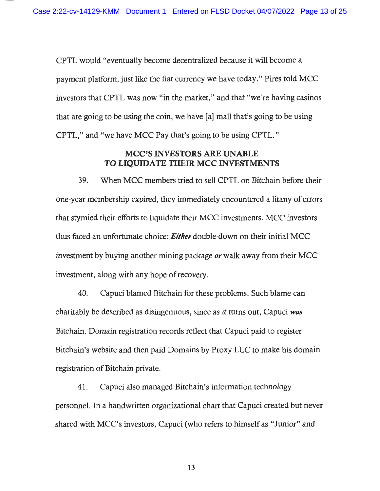CPTL would "eventually become decentralized because it will become a payment platform, just like the fiat currency we have today." Pires told MCC investors that CPTL was now "in the market," and that "we're having casinos that are going to be using the coin, we have [a] mall that's going to be using CPTL," and "we have MCC Pay that's going to be using CPTL."

### **MCC'S INVESTORS ARE UNABLE TO LIQUIDATE THEIR MCC INVESTMENTS**

39. When MCC members tried to sell CPTL on Bitchain before their one-year membership expired, they immediately encountered a litany of errors that stymied their efforts to liquidate their MCC investments. MCC investors thus faced an unfortunate choice: *Either* double-down on their initial MCC investment by buying another mining package *or* walk away from their MCC investment, along with any hope of recovery.

40. Capuci blamed Bitchain for these problems. Such blame can charitably be described as disingenuous, since as it turns out, Capuci *was*  Bitchain. Domain registration records reflect that Capuci paid to register Bitchain's website and then paid Domains by Proxy LLC to make his domain registration of Bitchain private.

41. Capuci also managed Bitchain's information technology personnel. In a handwritten organizational chart that Capuci created but never shared with MCC's investors, Capuci (who refers to himself as "Junior" and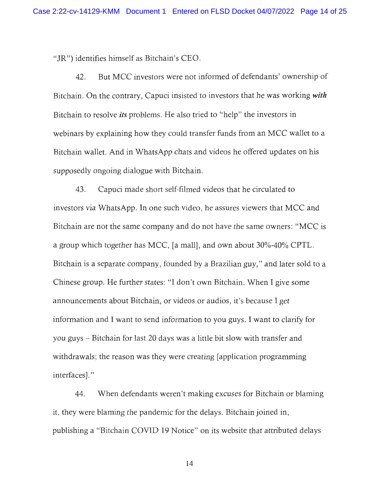"JR") identifies himself as Bitchain's CEO.

42. But MCC investors were not informed of defendants' ownership of Bitchain. On the contrary, Capuci insisted to investors that he was working *with*  Bitchain to resolve *its* problems. He also tried to "help" the investors in webinars by explaining how they could transfer funds from an MCC wallet to a Bitchain wallet. And in WhatsApp chats and videos he offered updates on his supposedly ongoing dialogue with Bitchain.

43. Capuci made short self-filmed videos that he circulated to investors via WhatsApp. In one such video, he assures viewers that MCC and Bitchain are not the same company and do not have the same owners: "MCC is a group which together has MCC, [a mall], and own about 30%-40% CPTL. Bitchain is a separate company, founded by a Brazilian guy," and later sold to a Chinese group. He further states: "I don't own Bitchain. When I give some announcements about Bitchain, or videos or audios, it's because I get information and I want to send information to you guys. I want to clarify for you guys - Bitchain for last 20 days was a little bit slow with transfer and withdrawals; the reason was they were creating [application programming interfaces]."

44. When defendants weren't making excuses for Bitchain or blaming it, they were blaming the pandemic for the delays. Bitchain joined in, publishing a "Bitchain COVID 19 Notice" on its website that attributed delays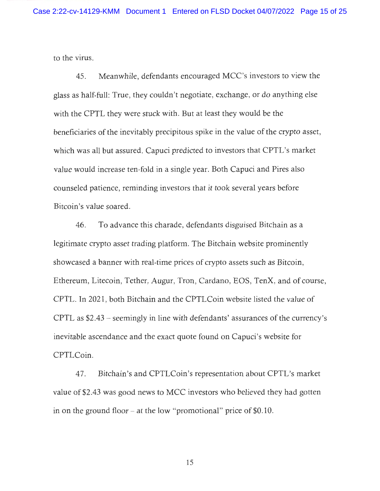to the virus.

45 . Meanwhile, defendants encouraged MCC's investors to view the glass as half-full: True, they couldn't negotiate, exchange, or do anything else with the CPTL they were stuck with. But at least they would be the beneficiaries of the inevitably precipitous spike in the value of the crypto asset, which was all but assured. Capuci predicted to investors that CPTL's market value would increase ten-fold in a single year. Both Capuci and Pires also counseled patience, reminding investors that it took several years before Bitcoin's value soared.

46. To advance this charade, defendants disguised Bitchain as a legitimate crypto asset trading platform. The Bitchain website prominently showcased a banner with real-time prices of crypto assets such as Bitcoin, Ethereum, Litecoin, Tether, Augur, Tron, Cardano, EOS, TenX, and of course, CPTL. In 2021, both Bitchain and the CPTLCoin website listed the value of CPTL as \$2.43 - seemingly in line with defendants' assurances of the currency's inevitable ascendance and the exact quote found on Capuci's website for CPTLCoin.

47. Bitchain's and CPTLCoin's representation about CPTL's market value of \$2.43 was good news to MCC investors who believed they had gotten in on the ground floor  $-$  at the low "promotional" price of \$0.10.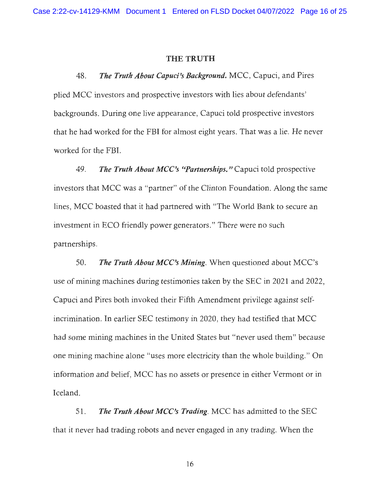#### **THE TRUTH**

48. *The Truth About Capuci's Background.* MCC, Capuci, and Pires plied MCC investors and prospective investors with lies about defendants' backgrounds. During one live appearance, Capuci told prospective investors that he had worked for the FBI for almost eight years. That was a lie. He never worked for the FBI.

49. *The Truth About MCC's "Partnerships."* Capuci told prospective investors that MCC was a "partner" of the Clinton Foundation. Along the same lines, MCC boasted that it had partnered with "The World Bank to secure an investment in ECO friendly power generators." There were no such partnerships.

50. *The Truth About MCC's Mining.* When questioned about MCC's use of mining machines during testimonies taken by the SEC in 2021 and 2022, Capuci and Pires both invoked their Fifth Amendment privilege against selfincrimination. In earlier SEC testimony in 2020, they had testified that MCC had some mining machines in the United States but "never used them" because one mining machine alone "uses more electricity than the whole building. " On information and belief, MCC has no assets or presence in either Vermont or in Iceland.

51. *The Truth About MCC's Trading.* MCC has admitted to the SEC that it never had trading robots and never engaged in any trading. When the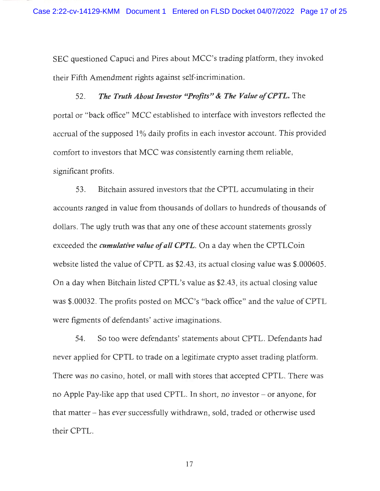SEC questioned Capuci and Pires about MCC's trading platform, they invoked their Fifth Amendment rights against self-incrimination.

52. *The Truth About Investor "Profits"* **&** *The Value of CPTL.* The portal or "back office" MCC established to interface with investors reflected the accrual of the supposed I% daily profits in each investor account. This provided comfort to investors that MCC was consistently earning them reliable, significant profits.

53. Bitchain assured investors that the CPTL accumulating in their accounts ranged in value from thousands of dollars to hundreds of thousands of dollars. The ugly truth was that any one of these account statements grossly exceeded the *cumulative value of all CPTL.* On a day when the CPTLCoin website listed the value of CPTL as \$2.43, its actual closing value was \$.000605. On a day when Bitchain listed CPTL's value as \$2.43, its actual closing value was \$.00032. The profits posted on MCC's "back office" and the value of CPTL were figments of defendants' active imaginations.

54. So too were defendants' statements about CPTL. Defendants had never applied for CPTL to trade on a legitimate crypto asset trading platform. There was no casino, hotel, or mall with stores that accepted CPTL. There was no Apple Pay-like app that used CPTL. In short, no investor - or anyone, for that matter - has ever successfully withdrawn, sold, traded or otherwise used their CPTL.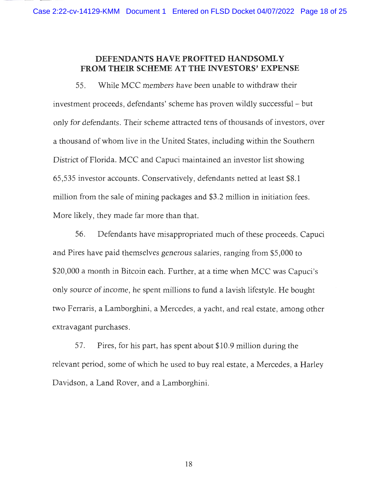### **DEFENDANTS HA VE PROFITED HANDSOML Y FROM THEIR SCHEME AT THE INVESTORS' EXPENSE**

55. While MCC members have been unable to withdraw their investment proceeds, defendants' scheme has proven wildly successful - but only for defendants. Their scheme attracted tens of thousands of investors, over a thousand of whom live in the United States, including within the Southern District of Florida. MCC and Capuci maintained an investor list showing 65,535 investor accounts. Conservatively, defendants netted at least \$8.1 million from the sale of mining packages and \$3 .2 million in initiation fees. More likely, they made far more than that.

56. Defendants have misappropriated much of these proceeds. Capuci and Pires have paid themselves generous salaries, ranging from \$5,000 to \$20,000 a month in Bitcoin each. Further, at a time when MCC was Capuci's only source of income, he spent millions to fund a lavish lifestyle. He bought two Ferraris, a Lamborghini, a Mercedes, a yacht, and real estate, among other extravagant purchases.

57. Pires, for his part, has spent about \$10.9 million during the relevant period, some of which he used to buy real estate, a Mercedes, a Harley Davidson, a Land Rover, and a Lamborghini.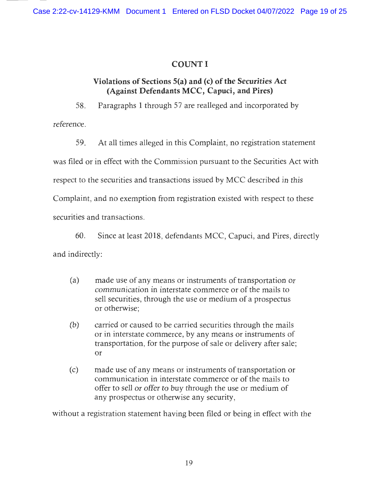# **COUNTI**

# **Violations of Sections S(a) and (c) of the Securities Act (Against Defendants MCC, Capuci, and Pires)**

58. Paragraphs **1** through 57 are realleged and incorporated by

reference.

59. At all times alleged in this Complaint, no registration statement was filed or in effect with the Commission pursuant to the Securities Act with respect to the securities and transactions issued by MCC described in this Complaint, and no exemption from registration existed with respect to these securities and transactions.

60. Since at least 2018, defendants MCC, Capuci, and Pires, directly and indirectly:

- (a) made use of any means or instruments of transportation or communication in interstate commerce or of the mails to sell securities, through the use or medium of a prospectus or otherwise;
- (b) carried or caused to be carried securities through the mails or in interstate commerce, by any means or instruments of transportation, for the purpose of sale or delivery after sale; or
- ( c) made use of any means or instruments of transportation or communication in interstate commerce or of the mails to offer to sell or offer to buy through the use or medium of any prospectus or otherwise any security,

without a registration statement having been filed or being in effect with the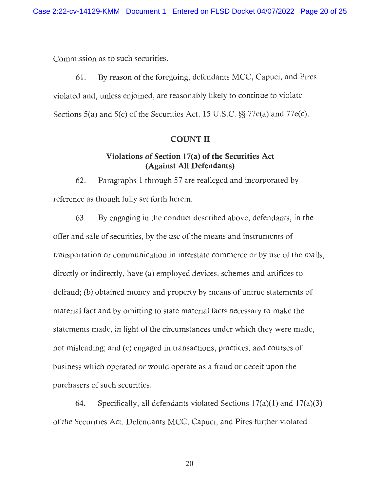Commission as to such securities.

61. By reason of the foregoing, defendants MCC, Capuci, and Pires violated and, unless enjoined, are reasonably likely to continue to violate Sections 5(a) and 5(c) of the Securities Act, 15 U.S.C. §§ 77e(a) and 77e(c).

#### **COUNT II**

### **Violations of Section l 7(a) of the Securities Act (Against All Defendants)**

62. Paragraphs 1 through 57 are realleged and incorporated by reference as though fully set forth herein.

63. By engaging in the conduct described above , defendants, in the offer and sale of securities, by the use of the means and instruments of transportation or communication in interstate commerce or by use of the mails, directly or indirectly, have (a) employed devices, schemes and artifices to defraud; (b) obtained money and property by means of untrue statements of material fact and by omitting to state material facts necessary to make the statements made, in light of the circumstances under which they were made, not misleading; and (c) engaged in transactions, practices, and courses of business which operated or would operate as a fraud or deceit upon the purchasers of such securities.

64. Specifically, all defendants violated Sections l 7(a)(l) and **l** 7(a)(3) of the Securities Act. Defendants MCC, Capuci, and Pires further violated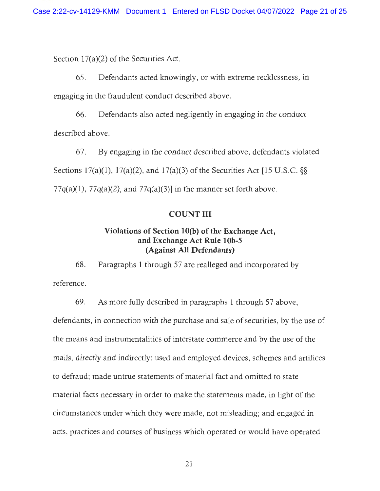Section 17(a)(2) of the Securities Act.

65. Defendants acted knowingly, or with extreme recklessness, in engaging in the fraudulent conduct described above.

66. Defendants also acted negligently in engaging in the conduct described above.

67. By engaging in the conduct described above, defendants violated Sections l 7(a)(l), l 7(a)(2), and **l** 7(a)(3) of the Securities Act [15 U.S.C. §§  $77q(a)(1)$ ,  $77q(a)(2)$ , and  $77q(a)(3)$ ] in the manner set forth above.

#### **COUNTIII**

### **Violations of Section 1 0(b) of the Exchange Act, and Exchange Act Rule 1 0b-5 (Against All Defendants)**

68. Paragraphs **1** through 57 are realleged and incorporated by reference.

69. As more fully described in paragraphs 1 through 57 above, defendants, in connection with the purchase and sale of securities, by the use of the means and instrumentalities of interstate commerce and by the use of the mails, directly and indirectly: used and employed devices, schemes and artifices to defraud; made untrue statements of material fact and omitted to state material facts necessary in order to make the statements made, in light of the circumstances under which they were made, not misleading; and engaged in acts, practices and courses of business which operated or would have operated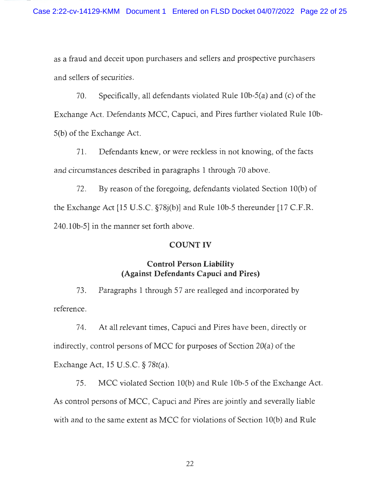as a fraud and deceit upon purchasers and sellers and prospective purchasers and sellers of securities.

70. Specifically, all defendants violated Rule 10b-5(a) and (c) of the Exchange Act. Defendants MCC, Capuci, and Pires further violated Rule 10b-5(b) of the Exchange Act.

71. Defendants knew, or were reckless in not knowing, of the facts and circumstances described in paragraphs 1 through 70 above.

72. By reason of the foregoing, defendants violated Section l0(b) of the Exchange Act [15 U.S.C. §78j(b)] and Rule l0b-5 thereunder [17 C.F.R. 240.10b-5] in the manner set forth above.

### **COUNT** IV

### **Control Person Liability (Against Defendants Capuci and Pires)**

73. Paragraphs 1 through 57 are realleged and incorporated by reference.

74. At all relevant times, Capuci and Pires have been, directly or indirectly, control persons of MCC for purposes of Section 20(a) of the Exchange Act, 15 U.S.C. § 78t(a).

75. MCC violated Section l0(b) and Rule l0b-5 of the Exchange Act. As control persons of MCC, Capuci and Pires are jointly and severally liable with and to the same extent as MCC for violations of Section 10(b) and Rule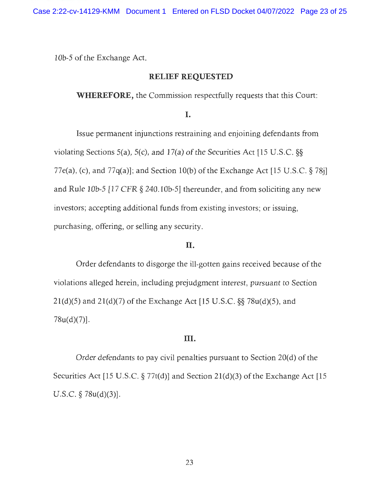10b-5 of the Exchange Act.

#### **RELIEF REQUESTED**

**WHEREFORE,** the Commission respectfully requests that this Court:

I.

Issue permanent injunctions restraining and enjoining defendants from violating Sections 5(a), 5(c), and **l** 7(a) of the Securities Act [15 U .S.C. §§ 77e(a), (c), and 77q(a)]; and Section 10(b) of the Exchange Act [15 U.S.C.  $\S 78j$ ] and Rule l0b-5 [17 CFR § 240.l0b-5] thereunder, and from soliciting any new investors; accepting additional funds from existing investors; or issuing, purchasing, offering, or selling any security.

#### II.

Order defendants to disgorge the ill-gotten gains received because of the violations alleged herein, including prejudgment interest, pursuant to Section 2l(d)(5) and 2l(d)(7) of the Exchange Act [15 U.S.C. §§ 78u(d)(5), and  $78u(d)(7)$ ].

#### III.

Order defendants to pay civil penalties pursuant to Section  $20(d)$  of the Securities Act [15 U.S.C.  $\S 77t(d)$ ] and Section 21(d)(3) of the Exchange Act [15 U.S.C.  $\S$  78u(d)(3)].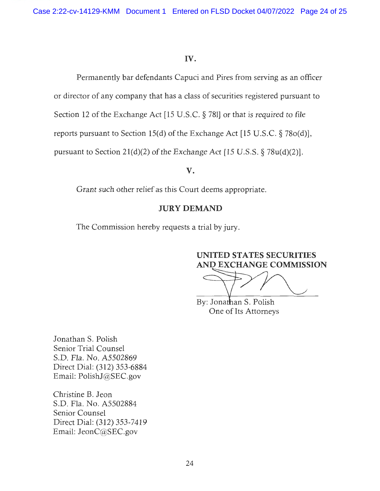### IV.

Permanently bar defendants Capuci and Pires from serving as an officer or director of any company that has a class of securities registered pursuant to Section 12 of the Exchange Act [15 U.S.C. § 781] or that is required to file reports pursuant to Section 15(d) of the Exchange Act [15 U .S.C. § 78o(d)], pursuant to Section 2l(d)(2) of the Exchange Act [15 U.S.S. § 78u(d)(2)].

### **V.**

Grant such other relief as this Court deems appropriate.

### **JURY DEMAND**

The Commission hereby requests a trial by jury.

# **UNITED STATES SECURITIES AND EXCHANGE COMMISSION**

UNITED STATES SECURITIES<br>AND EXCHANGE COMMISSION<br>By: Jonathan S. Polish<br>One of Its Attorneys

One of Its Attorneys

Jonathan S. Polish Senior Trial Counsel S.D. Fla. No. A5502869 Direct Dial: (312) 353-6884 Email: PolishJ@SEC.gov

Christine B. Jeon S.D. Fla. No. A5502884 Senior Counsel Direct Dial: (312) 353-7419 Email: JeonC@SEC.gov